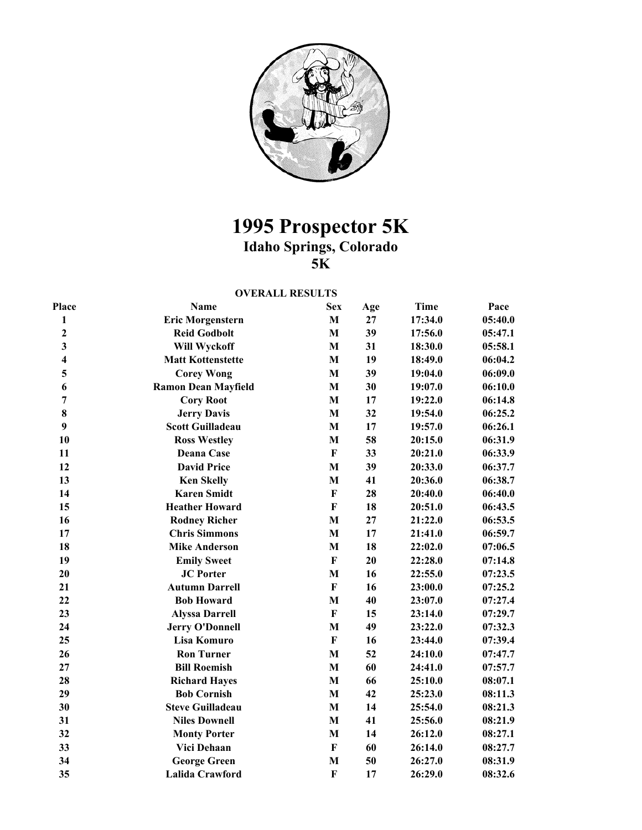

## **1995 Prospector 5K Idaho Springs, Colorado 5K**

## **OVERALL RESULTS**

| Place                   | Name                       | <b>Sex</b>              | Age | <b>Time</b> | Pace    |
|-------------------------|----------------------------|-------------------------|-----|-------------|---------|
| $\mathbf{1}$            | <b>Eric Morgenstern</b>    | $\mathbf{M}$            | 27  | 17:34.0     | 05:40.0 |
| $\mathbf 2$             | <b>Reid Godbolt</b>        | M                       | 39  | 17:56.0     | 05:47.1 |
| $\overline{\mathbf{3}}$ | Will Wyckoff               | $\mathbf{M}$            | 31  | 18:30.0     | 05:58.1 |
| $\overline{\mathbf{4}}$ | <b>Matt Kottenstette</b>   | M                       | 19  | 18:49.0     | 06:04.2 |
| 5                       | <b>Corey Wong</b>          | M                       | 39  | 19:04.0     | 06:09.0 |
| 6                       | <b>Ramon Dean Mayfield</b> | M                       | 30  | 19:07.0     | 06:10.0 |
| $\overline{7}$          | <b>Cory Root</b>           | M                       | 17  | 19:22.0     | 06:14.8 |
| 8                       | <b>Jerry Davis</b>         | M                       | 32  | 19:54.0     | 06:25.2 |
| 9                       | <b>Scott Guilladeau</b>    | $\mathbf{M}$            | 17  | 19:57.0     | 06:26.1 |
| 10                      | <b>Ross Westley</b>        | M                       | 58  | 20:15.0     | 06:31.9 |
| 11                      | Deana Case                 | $\bf F$                 | 33  | 20:21.0     | 06:33.9 |
| 12                      | <b>David Price</b>         | M                       | 39  | 20:33.0     | 06:37.7 |
| 13                      | <b>Ken Skelly</b>          | M                       | 41  | 20:36.0     | 06:38.7 |
| 14                      | <b>Karen Smidt</b>         | $\bf F$                 | 28  | 20:40.0     | 06:40.0 |
| 15                      | <b>Heather Howard</b>      | $\mathbf F$             | 18  | 20:51.0     | 06:43.5 |
| 16                      | <b>Rodney Richer</b>       | M                       | 27  | 21:22.0     | 06:53.5 |
| 17                      | <b>Chris Simmons</b>       | M                       | 17  | 21:41.0     | 06:59.7 |
| 18                      | <b>Mike Anderson</b>       | M                       | 18  | 22:02.0     | 07:06.5 |
| 19                      | <b>Emily Sweet</b>         | $\mathbf F$             | 20  | 22:28.0     | 07:14.8 |
| 20                      | <b>JC</b> Porter           | M                       | 16  | 22:55.0     | 07:23.5 |
| 21                      | <b>Autumn Darrell</b>      | $\bf F$                 | 16  | 23:00.0     | 07:25.2 |
| 22                      | <b>Bob Howard</b>          | M                       | 40  | 23:07.0     | 07:27.4 |
| 23                      | <b>Alyssa Darrell</b>      | $\bf F$                 | 15  | 23:14.0     | 07:29.7 |
| 24                      | <b>Jerry O'Donnell</b>     | M                       | 49  | 23:22.0     | 07:32.3 |
| 25                      | Lisa Komuro                | $\bf F$                 | 16  | 23:44.0     | 07:39.4 |
| 26                      | <b>Ron Turner</b>          | M                       | 52  | 24:10.0     | 07:47.7 |
| 27                      | <b>Bill Roemish</b>        | M                       | 60  | 24:41.0     | 07:57.7 |
| 28                      | <b>Richard Hayes</b>       | M                       | 66  | 25:10.0     | 08:07.1 |
| 29                      | <b>Bob Cornish</b>         | M                       | 42  | 25:23.0     | 08:11.3 |
| 30                      | <b>Steve Guilladeau</b>    | M                       | 14  | 25:54.0     | 08:21.3 |
| 31                      | <b>Niles Downell</b>       | M                       | 41  | 25:56.0     | 08:21.9 |
| 32                      | <b>Monty Porter</b>        | M                       | 14  | 26:12.0     | 08:27.1 |
| 33                      | Vici Dehaan                | $\bf F$                 | 60  | 26:14.0     | 08:27.7 |
| 34                      | <b>George Green</b>        | M                       | 50  | 26:27.0     | 08:31.9 |
| 35                      | Lalida Crawford            | $\overline{\mathbf{F}}$ | 17  | 26:29.0     | 08:32.6 |